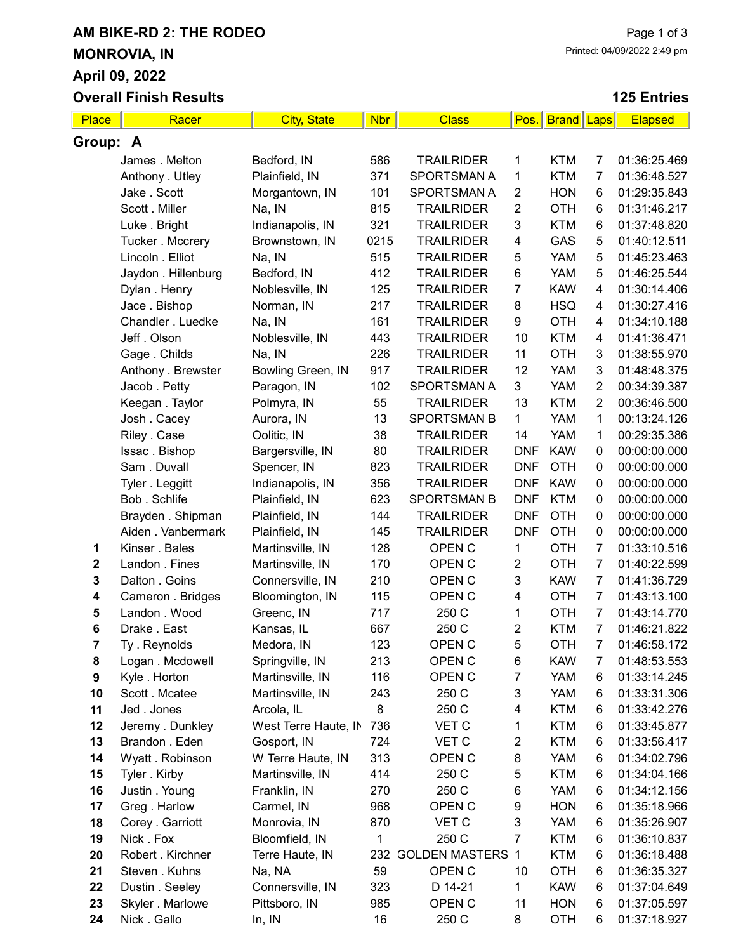### AM BIKE-RD 2: THE RODEO MONROVIA, IN April 09, 2022 Overall Finish Results

### 125 Entries

| Place           | Racer               | <b>City, State</b>   | <b>Nbr</b> | <b>Class</b>       | Pos.                    | <b>Brand Laps</b> |                | <b>Elapsed</b> |
|-----------------|---------------------|----------------------|------------|--------------------|-------------------------|-------------------|----------------|----------------|
| Group: A        |                     |                      |            |                    |                         |                   |                |                |
|                 | James. Melton       | Bedford, IN          | 586        | <b>TRAILRIDER</b>  | 1                       | <b>KTM</b>        | 7              | 01:36:25.469   |
|                 | Anthony . Utley     | Plainfield, IN       | 371        | SPORTSMAN A        | 1                       | <b>KTM</b>        | 7              | 01:36:48.527   |
|                 | Jake . Scott        | Morgantown, IN       | 101        | SPORTSMAN A        | $\overline{c}$          | <b>HON</b>        | 6              | 01:29:35.843   |
|                 | Scott . Miller      | Na, IN               | 815        | <b>TRAILRIDER</b>  | 2                       | <b>OTH</b>        | 6              | 01:31:46.217   |
|                 | Luke . Bright       | Indianapolis, IN     | 321        | <b>TRAILRIDER</b>  | 3                       | <b>KTM</b>        | 6              | 01:37:48.820   |
|                 | Tucker . Mccrery    | Brownstown, IN       | 0215       | <b>TRAILRIDER</b>  | 4                       | GAS               | 5              | 01:40:12.511   |
|                 | Lincoln . Elliot    | Na, IN               | 515        | <b>TRAILRIDER</b>  | 5                       | <b>YAM</b>        | 5              | 01:45:23.463   |
|                 | Jaydon . Hillenburg | Bedford, IN          | 412        | <b>TRAILRIDER</b>  | 6                       | <b>YAM</b>        | 5              | 01:46:25.544   |
|                 | Dylan. Henry        | Noblesville, IN      | 125        | <b>TRAILRIDER</b>  | 7                       | <b>KAW</b>        | 4              | 01:30:14.406   |
|                 | Jace . Bishop       | Norman, IN           | 217        | <b>TRAILRIDER</b>  | 8                       | <b>HSQ</b>        | 4              | 01:30:27.416   |
|                 | Chandler . Luedke   | Na, IN               | 161        | <b>TRAILRIDER</b>  | 9                       | <b>OTH</b>        | 4              | 01:34:10.188   |
|                 | Jeff. Olson         | Noblesville, IN      | 443        | <b>TRAILRIDER</b>  | 10                      | <b>KTM</b>        | 4              | 01:41:36.471   |
|                 | Gage . Childs       | Na, IN               | 226        | <b>TRAILRIDER</b>  | 11                      | <b>OTH</b>        | 3              | 01:38:55.970   |
|                 | Anthony . Brewster  | Bowling Green, IN    | 917        | <b>TRAILRIDER</b>  | 12                      | <b>YAM</b>        | 3              | 01:48:48.375   |
|                 | Jacob. Petty        | Paragon, IN          | 102        | SPORTSMAN A        | 3                       | <b>YAM</b>        | $\overline{c}$ | 00:34:39.387   |
|                 | Keegan. Taylor      | Polmyra, IN          | 55         | <b>TRAILRIDER</b>  | 13                      | <b>KTM</b>        | $\overline{c}$ | 00:36:46.500   |
|                 | Josh . Cacey        | Aurora, IN           | 13         | <b>SPORTSMAN B</b> | 1                       | <b>YAM</b>        | 1              | 00:13:24.126   |
|                 | Riley . Case        | Oolitic, IN          | 38         | <b>TRAILRIDER</b>  | 14                      | YAM               | $\mathbf 1$    | 00:29:35.386   |
|                 | Issac. Bishop       | Bargersville, IN     | 80         | <b>TRAILRIDER</b>  | <b>DNF</b>              | <b>KAW</b>        | 0              | 00:00:00.000   |
|                 | Sam. Duvall         | Spencer, IN          | 823        | <b>TRAILRIDER</b>  | <b>DNF</b>              | <b>OTH</b>        | 0              | 00:00:00.000   |
|                 | Tyler . Leggitt     | Indianapolis, IN     | 356        | <b>TRAILRIDER</b>  | <b>DNF</b>              | <b>KAW</b>        | 0              | 00:00:00.000   |
|                 | Bob. Schlife        | Plainfield, IN       | 623        | <b>SPORTSMAN B</b> | <b>DNF</b>              | <b>KTM</b>        | 0              | 00:00:00.000   |
|                 | Brayden . Shipman   | Plainfield, IN       | 144        | <b>TRAILRIDER</b>  | <b>DNF</b>              | <b>OTH</b>        | 0              | 00:00:00.000   |
|                 | Aiden . Vanbermark  | Plainfield, IN       | 145        | <b>TRAILRIDER</b>  | <b>DNF</b>              | <b>OTH</b>        | 0              | 00:00:00.000   |
| 1               | Kinser . Bales      | Martinsville, IN     | 128        | OPEN C             | 1                       | <b>OTH</b>        | 7              | 01:33:10.516   |
| $\mathbf 2$     | Landon . Fines      | Martinsville, IN     | 170        | OPEN C             | 2                       | <b>OTH</b>        | $\overline{7}$ | 01:40:22.599   |
| 3               | Dalton . Goins      | Connersville, IN     | 210        | OPEN C             | 3                       | <b>KAW</b>        | 7              | 01:41:36.729   |
| 4               | Cameron . Bridges   | Bloomington, IN      | 115        | OPEN C             | 4                       | <b>OTH</b>        | $\overline{7}$ | 01:43:13.100   |
| 5               | Landon . Wood       | Greenc, IN           | 717        | 250 C              | 1                       | <b>OTH</b>        | 7              | 01:43:14.770   |
| $6\phantom{1}6$ | Drake . East        | Kansas, IL           | 667        | 250 C              | 2                       | <b>KTM</b>        | $\overline{7}$ | 01:46:21.822   |
| $\overline{7}$  | Ty. Reynolds        | Medora, IN           | 123        | OPEN <sub>C</sub>  | 5                       | <b>OTH</b>        | 7              | 01:46:58.172   |
| 8               | Logan . Mcdowell    | Springville, IN      | 213        | OPEN C             | 6                       | <b>KAW</b>        | 7              | 01:48:53.553   |
| 9               | Kyle. Horton        | Martinsville, IN     | 116        | OPEN C             | 7                       | YAM               | 6              | 01:33:14.245   |
| 10              | Scott . Mcatee      | Martinsville, IN     | 243        | 250 C              | 3                       | YAM               | 6              | 01:33:31.306   |
| 11              | Jed. Jones          | Arcola, IL           | 8          | 250 C              | 4                       | <b>KTM</b>        | 6              | 01:33:42.276   |
| 12              | Jeremy . Dunkley    | West Terre Haute, IN | 736        | VET C              | 1                       | <b>KTM</b>        | 6              | 01:33:45.877   |
| 13              | Brandon. Eden       | Gosport, IN          | 724        | VET C              | $\overline{\mathbf{c}}$ | KTM               | 6              | 01:33:56.417   |
| 14              | Wyatt . Robinson    | W Terre Haute, IN    | 313        | OPEN <sub>C</sub>  | 8                       | YAM               | 6              | 01:34:02.796   |
| 15              | Tyler . Kirby       | Martinsville, IN     | 414        | 250 C              | $\mathbf 5$             | <b>KTM</b>        | 6              | 01:34:04.166   |
| 16              | Justin . Young      | Franklin, IN         | 270        | 250 C              | 6                       | YAM               | 6              | 01:34:12.156   |
| 17              | Greg. Harlow        | Carmel, IN           | 968        | OPEN <sub>C</sub>  | 9                       | <b>HON</b>        | 6              | 01:35:18.966   |
| 18              | Corey . Garriott    | Monrovia, IN         | 870        | VET C              | 3                       | YAM               | 6              | 01:35:26.907   |
| 19              | Nick. Fox           | Bloomfield, IN       | 1          | 250 C              | $\overline{7}$          | <b>KTM</b>        | 6              | 01:36:10.837   |
| 20              | Robert . Kirchner   | Terre Haute, IN      |            | 232 GOLDEN MASTERS | $\mathbf{1}$            | <b>KTM</b>        | 6              | 01:36:18.488   |
| 21              | Steven . Kuhns      | Na, NA               | 59         | OPEN C             | 10                      | <b>OTH</b>        | 6              | 01:36:35.327   |
| 22              | Dustin . Seeley     | Connersville, IN     | 323        | D 14-21            | 1                       | <b>KAW</b>        | 6              | 01:37:04.649   |
| 23              | Skyler . Marlowe    | Pittsboro, IN        | 985        | OPEN <sub>C</sub>  | 11                      | <b>HON</b>        | 6              | 01:37:05.597   |
| 24              | Nick . Gallo        | In, IN               | 16         | 250 C              | 8                       | <b>OTH</b>        | 6              | 01:37:18.927   |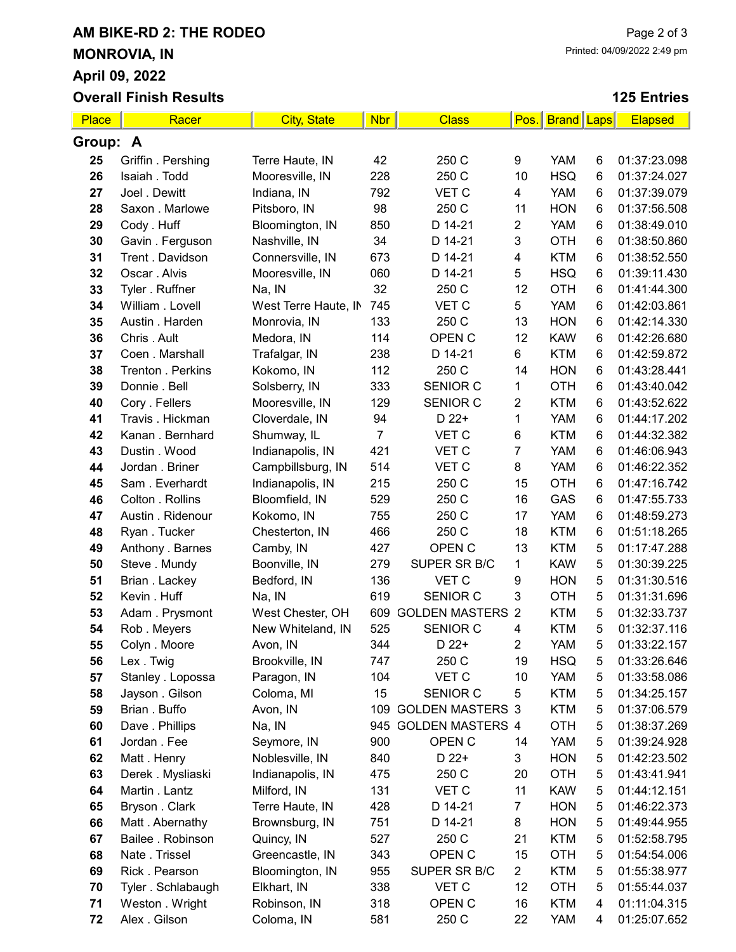# AM BIKE-RD 2: THE RODEO MONROVIA, IN April 09, 2022

Overall Finish Results

### 125 Entries

| Place    | Racer              | <b>City, State</b>   | <b>Nbr</b>     | <b>Class</b>            | Pos.                      | <b>Brand Laps</b> |       | <b>Elapsed</b> |
|----------|--------------------|----------------------|----------------|-------------------------|---------------------------|-------------------|-------|----------------|
| Group: A |                    |                      |                |                         |                           |                   |       |                |
| 25       | Griffin . Pershing | Terre Haute, IN      | 42             | 250 C                   | 9                         | <b>YAM</b>        | 6     | 01:37:23.098   |
| 26       | Isaiah. Todd       | Mooresville, IN      | 228            | 250 C                   | 10                        | <b>HSQ</b>        | 6     | 01:37:24.027   |
| 27       | Joel . Dewitt      | Indiana, IN          | 792            | VET C                   | 4                         | <b>YAM</b>        | 6     | 01:37:39.079   |
| 28       | Saxon . Marlowe    | Pitsboro, IN         | 98             | 250 C                   | 11                        | <b>HON</b>        | 6     | 01:37:56.508   |
| 29       | Cody . Huff        | Bloomington, IN      | 850            | D 14-21                 | $\overline{2}$            | <b>YAM</b>        | 6     | 01:38:49.010   |
| 30       | Gavin . Ferguson   | Nashville, IN        | 34             | D 14-21                 | $\ensuremath{\mathsf{3}}$ | <b>OTH</b>        | 6     | 01:38:50.860   |
| 31       | Trent. Davidson    | Connersville, IN     | 673            | D 14-21                 | 4                         | <b>KTM</b>        | 6     | 01:38:52.550   |
| 32       | Oscar . Alvis      | Mooresville, IN      | 060            | D 14-21                 | 5                         | <b>HSQ</b>        | 6     | 01:39:11.430   |
| 33       | Tyler . Ruffner    | Na, IN               | 32             | 250 C                   | 12                        | <b>OTH</b>        | $\,6$ | 01:41:44.300   |
| 34       | William . Lovell   | West Terre Haute, IN | 745            | VET C                   | 5                         | <b>YAM</b>        | 6     | 01:42:03.861   |
| 35       | Austin . Harden    | Monrovia, IN         | 133            | 250 C                   | 13                        | <b>HON</b>        | 6     | 01:42:14.330   |
| 36       | Chris . Ault       | Medora, IN           | 114            | OPEN C                  | 12                        | <b>KAW</b>        | 6     | 01:42:26.680   |
| 37       | Coen . Marshall    | Trafalgar, IN        | 238            | D 14-21                 | 6                         | <b>KTM</b>        | 6     | 01:42:59.872   |
| 38       | Trenton . Perkins  | Kokomo, IN           | 112            | 250 C                   | 14                        | <b>HON</b>        | 6     | 01:43:28.441   |
| 39       | Donnie . Bell      | Solsberry, IN        | 333            | SENIOR C                | 1                         | <b>OTH</b>        | 6     | 01:43:40.042   |
| 40       | Cory . Fellers     | Mooresville, IN      | 129            | SENIOR C                | $\overline{2}$            | <b>KTM</b>        | 6     | 01:43:52.622   |
| 41       | Travis . Hickman   | Cloverdale, IN       | 94             | D 22+                   | 1                         | <b>YAM</b>        | 6     | 01:44:17.202   |
| 42       | Kanan, Bernhard    | Shumway, IL          | $\overline{7}$ | VET C                   | 6                         | <b>KTM</b>        | 6     | 01:44:32.382   |
| 43       | Dustin . Wood      | Indianapolis, IN     | 421            | VET C                   | $\overline{7}$            | <b>YAM</b>        | 6     | 01:46:06.943   |
| 44       | Jordan . Briner    | Campbillsburg, IN    | 514            | VET C                   | 8                         | <b>YAM</b>        | 6     | 01:46:22.352   |
| 45       | Sam. Everhardt     | Indianapolis, IN     | 215            | 250 C                   | 15                        | <b>OTH</b>        | 6     | 01:47:16.742   |
| 46       | Colton . Rollins   | Bloomfield, IN       | 529            | 250 C                   | 16                        | GAS               | 6     | 01:47:55.733   |
| 47       | Austin . Ridenour  | Kokomo, IN           | 755            | 250 C                   | 17                        | <b>YAM</b>        | 6     | 01:48:59.273   |
| 48       | Ryan. Tucker       | Chesterton, IN       | 466            | 250 C                   | 18                        | <b>KTM</b>        | 6     | 01:51:18.265   |
| 49       | Anthony . Barnes   | Camby, IN            | 427            | OPEN C                  | 13                        | <b>KTM</b>        | 5     | 01:17:47.288   |
| 50       | Steve . Mundy      | Boonville, IN        | 279            | SUPER SR B/C            | 1                         | <b>KAW</b>        | 5     | 01:30:39.225   |
| 51       | Brian . Lackey     | Bedford, IN          | 136            | VET C                   | 9                         | <b>HON</b>        | 5     | 01:31:30.516   |
| 52       | Kevin . Huff       | Na, IN               | 619            | SENIOR C                | 3                         | <b>OTH</b>        | 5     | 01:31:31.696   |
| 53       | Adam. Prysmont     | West Chester, OH     | 609            | <b>GOLDEN MASTERS</b>   | $\overline{2}$            | <b>KTM</b>        | 5     | 01:32:33.737   |
| 54       | Rob. Meyers        | New Whiteland, IN    | 525            | SENIOR C                | 4                         | <b>KTM</b>        | 5     | 01:32:37.116   |
| 55       | Colyn . Moore      | Avon, IN             | 344            | $D$ 22+                 | $\overline{2}$            | <b>YAM</b>        | 5     | 01:33:22.157   |
| 56       | Lex. Twig          | Brookville, IN       | 747            | 250 C                   | 19                        | <b>HSQ</b>        | 5     | 01:33:26.646   |
| 57       | Stanley . Lopossa  | Paragon, IN          | 104            | VET C                   | 10                        | <b>YAM</b>        | 5     | 01:33:58.086   |
| 58       | Jayson . Gilson    | Coloma, MI           | 15             | SENIOR C                | 5                         | <b>KTM</b>        | 5     | 01:34:25.157   |
| 59       | Brian . Buffo      | Avon, IN             | 109            | <b>GOLDEN MASTERS 3</b> |                           | <b>KTM</b>        | 5     | 01:37:06.579   |
| 60       | Dave . Phillips    | Na, IN               | 945            | <b>GOLDEN MASTERS 4</b> |                           | <b>OTH</b>        | 5     | 01:38:37.269   |
| 61       | Jordan. Fee        | Seymore, IN          | 900            | OPEN C                  | 14                        | <b>YAM</b>        | 5     | 01:39:24.928   |
| 62       | Matt. Henry        | Noblesville, IN      | 840            | D 22+                   | 3                         | <b>HON</b>        | 5     | 01:42:23.502   |
| 63       | Derek . Mysliaski  | Indianapolis, IN     | 475            | 250 C                   | 20                        | <b>OTH</b>        | 5     | 01:43:41.941   |
| 64       | Martin . Lantz     | Milford, IN          | 131            | VET C                   | 11                        | <b>KAW</b>        | 5     | 01:44:12.151   |
| 65       | Bryson. Clark      | Terre Haute, IN      | 428            | D 14-21                 | $\overline{7}$            | <b>HON</b>        | 5     | 01:46:22.373   |
| 66       | Matt. Abernathy    | Brownsburg, IN       | 751            | D 14-21                 | 8                         | <b>HON</b>        | 5     | 01:49:44.955   |
| 67       | Bailee . Robinson  | Quincy, IN           | 527            | 250 C                   | 21                        | <b>KTM</b>        | 5     | 01:52:58.795   |
| 68       | Nate . Trissel     | Greencastle, IN      | 343            | OPEN C                  | 15                        | <b>OTH</b>        | 5     | 01:54:54.006   |
| 69       | Rick . Pearson     | Bloomington, IN      | 955            | SUPER SR B/C            | $\overline{2}$            | <b>KTM</b>        | 5     | 01:55:38.977   |
| 70       | Tyler . Schlabaugh | Elkhart, IN          | 338            | VET C                   | 12                        | <b>OTH</b>        | 5     | 01:55:44.037   |
| 71       | Weston . Wright    | Robinson, IN         | 318            | OPEN C                  | 16                        | <b>KTM</b>        | 4     | 01:11:04.315   |
| 72       | Alex . Gilson      | Coloma, IN           | 581            | 250 C                   | 22                        | <b>YAM</b>        | 4     | 01:25:07.652   |